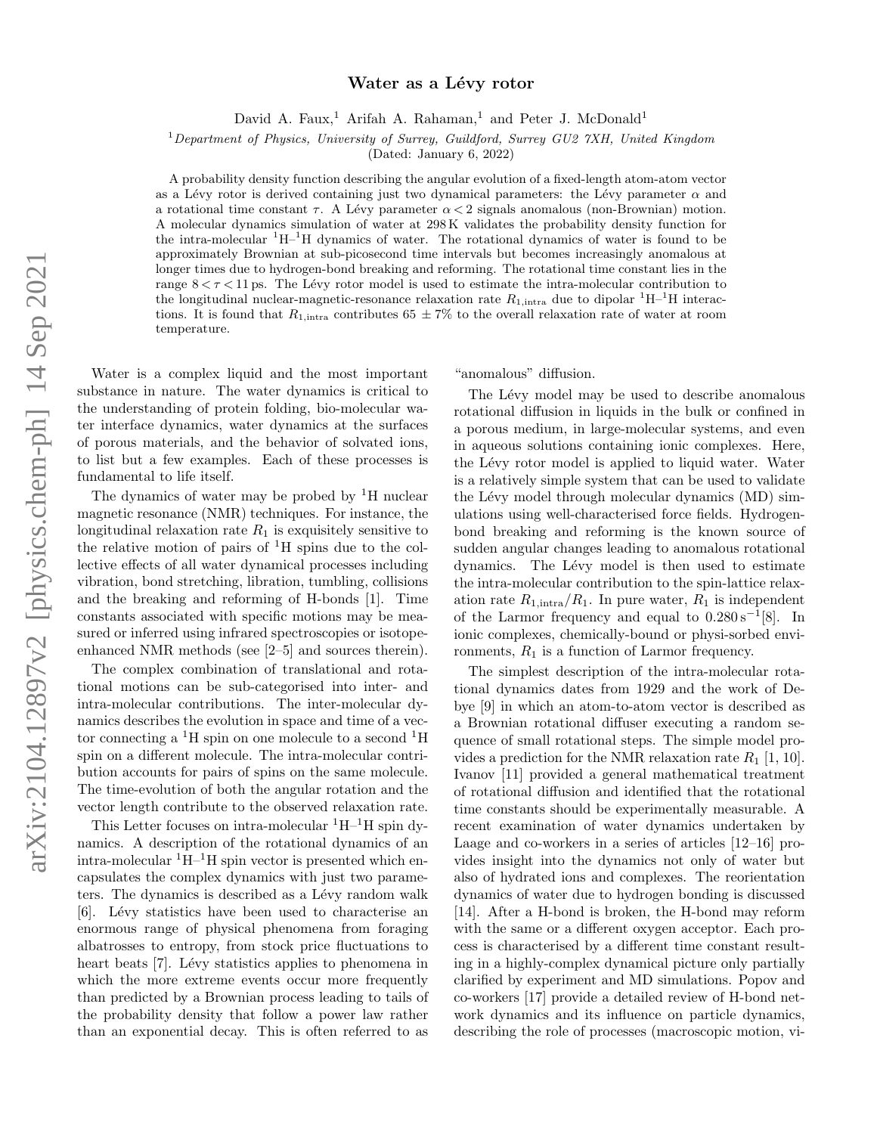# arXiv:2104.12897v2 [physics.chem-ph] 14 Sep 2021 arXiv:2104.12897v2 [physics.chem-ph] 14 Sep 2021

# Water as a Lévy rotor

David A. Faux,<sup>1</sup> Arifah A. Rahaman,<sup>1</sup> and Peter J. McDonald<sup>1</sup>

<sup>1</sup>Department of Physics, University of Surrey, Guildford, Surrey GU2  $\gamma$ XH, United Kingdom

(Dated: January 6, 2022)

A probability density function describing the angular evolution of a fixed-length atom-atom vector as a Lévy rotor is derived containing just two dynamical parameters: the Lévy parameter  $\alpha$  and a rotational time constant  $\tau$ . A Lévy parameter  $\alpha < 2$  signals anomalous (non-Brownian) motion. A molecular dynamics simulation of water at 298 K validates the probability density function for the intra-molecular  ${}^{1}H-{}^{1}H$  dynamics of water. The rotational dynamics of water is found to be approximately Brownian at sub-picosecond time intervals but becomes increasingly anomalous at longer times due to hydrogen-bond breaking and reforming. The rotational time constant lies in the range  $8 < \tau < 11$  ps. The Lévy rotor model is used to estimate the intra-molecular contribution to the longitudinal nuclear-magnetic-resonance relaxation rate  $R_{1,\text{intra}}$  due to dipolar  ${}^{1}H-{}^{1}H$  interactions. It is found that  $R_{1,\text{intra}}$  contributes 65  $\pm$  7% to the overall relaxation rate of water at room temperature.

Water is a complex liquid and the most important substance in nature. The water dynamics is critical to the understanding of protein folding, bio-molecular water interface dynamics, water dynamics at the surfaces of porous materials, and the behavior of solvated ions, to list but a few examples. Each of these processes is fundamental to life itself.

The dynamics of water may be probed by  ${}^{1}H$  nuclear magnetic resonance (NMR) techniques. For instance, the longitudinal relaxation rate  $R_1$  is exquisitely sensitive to the relative motion of pairs of  ${}^{1}H$  spins due to the collective effects of all water dynamical processes including vibration, bond stretching, libration, tumbling, collisions and the breaking and reforming of H-bonds [1]. Time constants associated with specific motions may be measured or inferred using infrared spectroscopies or isotopeenhanced NMR methods (see [2–5] and sources therein).

The complex combination of translational and rotational motions can be sub-categorised into inter- and intra-molecular contributions. The inter-molecular dynamics describes the evolution in space and time of a vector connecting a  ${}^{1}H$  spin on one molecule to a second  ${}^{1}H$ spin on a different molecule. The intra-molecular contribution accounts for pairs of spins on the same molecule. The time-evolution of both the angular rotation and the vector length contribute to the observed relaxation rate.

This Letter focuses on intra-molecular  ${}^{1}H-{}^{1}H$  spin dynamics. A description of the rotational dynamics of an intra-molecular  ${}^{1}H-{}^{1}H$  spin vector is presented which encapsulates the complex dynamics with just two parameters. The dynamics is described as a Lévy random walk [6]. Lévy statistics have been used to characterise an enormous range of physical phenomena from foraging albatrosses to entropy, from stock price fluctuations to heart beats [7]. Lévy statistics applies to phenomena in which the more extreme events occur more frequently than predicted by a Brownian process leading to tails of the probability density that follow a power law rather than an exponential decay. This is often referred to as

"anomalous" diffusion.

The Lévy model may be used to describe anomalous rotational diffusion in liquids in the bulk or confined in a porous medium, in large-molecular systems, and even in aqueous solutions containing ionic complexes. Here, the Lévy rotor model is applied to liquid water. Water is a relatively simple system that can be used to validate the Lévy model through molecular dynamics (MD) simulations using well-characterised force fields. Hydrogenbond breaking and reforming is the known source of sudden angular changes leading to anomalous rotational dynamics. The Lévy model is then used to estimate the intra-molecular contribution to the spin-lattice relaxation rate  $R_{1,\text{intra}}/R_1$ . In pure water,  $R_1$  is independent of the Larmor frequency and equal to  $0.280 s^{-1} [8]$ . In ionic complexes, chemically-bound or physi-sorbed environments,  $R_1$  is a function of Larmor frequency.

The simplest description of the intra-molecular rotational dynamics dates from 1929 and the work of Debye [9] in which an atom-to-atom vector is described as a Brownian rotational diffuser executing a random sequence of small rotational steps. The simple model provides a prediction for the NMR relaxation rate  $R_1$  [1, 10]. Ivanov [11] provided a general mathematical treatment of rotational diffusion and identified that the rotational time constants should be experimentally measurable. A recent examination of water dynamics undertaken by Laage and co-workers in a series of articles [12–16] provides insight into the dynamics not only of water but also of hydrated ions and complexes. The reorientation dynamics of water due to hydrogen bonding is discussed [14]. After a H-bond is broken, the H-bond may reform with the same or a different oxygen acceptor. Each process is characterised by a different time constant resulting in a highly-complex dynamical picture only partially clarified by experiment and MD simulations. Popov and co-workers [17] provide a detailed review of H-bond network dynamics and its influence on particle dynamics, describing the role of processes (macroscopic motion, vi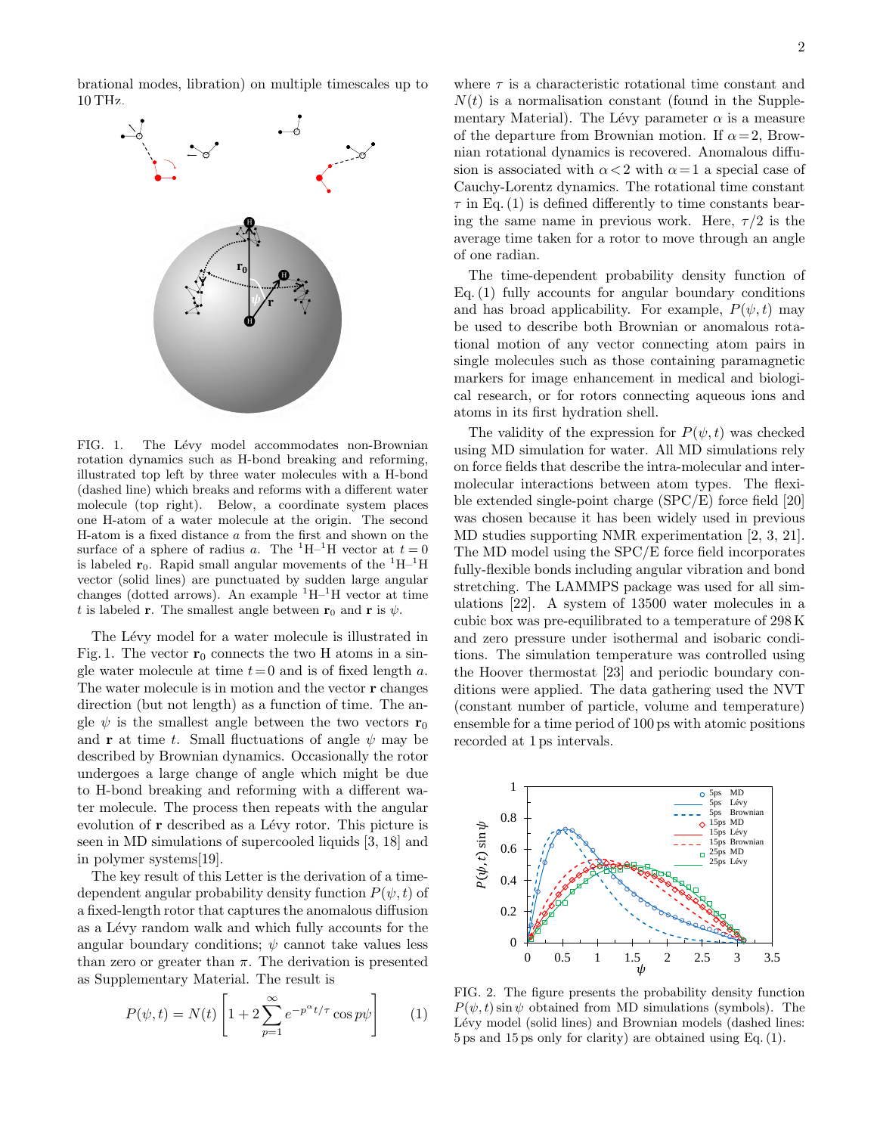brational modes, libration) on multiple timescales up to 10 THz.



FIG. 1. The Lévy model accommodates non-Brownian rotation dynamics such as H-bond breaking and reforming, illustrated top left by three water molecules with a H-bond (dashed line) which breaks and reforms with a different water molecule (top right). Below, a coordinate system places one H-atom of a water molecule at the origin. The second H-atom is a fixed distance a from the first and shown on the surface of a sphere of radius a. The <sup>1</sup>H–<sup>1</sup>H vector at  $t = 0$ is labeled  $r_0$ . Rapid small angular movements of the  ${}^{1}H-{}^{1}H$ vector (solid lines) are punctuated by sudden large angular changes (dotted arrows). An example  ${}^{1}H-{}^{1}H$  vector at time t is labeled **r**. The smallest angle between  $\mathbf{r}_0$  and **r** is  $\psi$ .

The Lévy model for a water molecule is illustrated in Fig. 1. The vector  $\mathbf{r}_0$  connects the two H atoms in a single water molecule at time  $t=0$  and is of fixed length a. The water molecule is in motion and the vector r changes direction (but not length) as a function of time. The angle  $\psi$  is the smallest angle between the two vectors  $\mathbf{r}_0$ and **r** at time t. Small fluctuations of angle  $\psi$  may be described by Brownian dynamics. Occasionally the rotor undergoes a large change of angle which might be due to H-bond breaking and reforming with a different water molecule. The process then repeats with the angular evolution of r described as a Lévy rotor. This picture is seen in MD simulations of supercooled liquids [3, 18] and in polymer systems[19].

The key result of this Letter is the derivation of a timedependent angular probability density function  $P(\psi, t)$  of a fixed-length rotor that captures the anomalous diffusion as a Lévy random walk and which fully accounts for the angular boundary conditions;  $\psi$  cannot take values less than zero or greater than  $\pi$ . The derivation is presented as Supplementary Material. The result is

$$
P(\psi, t) = N(t) \left[ 1 + 2 \sum_{p=1}^{\infty} e^{-p^{\alpha} t/\tau} \cos p\psi \right]
$$
 (1)

2

where  $\tau$  is a characteristic rotational time constant and  $N(t)$  is a normalisation constant (found in the Supplementary Material). The Lévy parameter  $\alpha$  is a measure of the departure from Brownian motion. If  $\alpha = 2$ , Brownian rotational dynamics is recovered. Anomalous diffusion is associated with  $\alpha < 2$  with  $\alpha = 1$  a special case of Cauchy-Lorentz dynamics. The rotational time constant  $\tau$  in Eq. (1) is defined differently to time constants bearing the same name in previous work. Here,  $\tau/2$  is the average time taken for a rotor to move through an angle of one radian.

The time-dependent probability density function of Eq. (1) fully accounts for angular boundary conditions and has broad applicability. For example,  $P(\psi, t)$  may be used to describe both Brownian or anomalous rotational motion of any vector connecting atom pairs in single molecules such as those containing paramagnetic markers for image enhancement in medical and biological research, or for rotors connecting aqueous ions and atoms in its first hydration shell.

The validity of the expression for  $P(\psi, t)$  was checked using MD simulation for water. All MD simulations rely on force fields that describe the intra-molecular and intermolecular interactions between atom types. The flexible extended single-point charge (SPC/E) force field [20] was chosen because it has been widely used in previous MD studies supporting NMR experimentation [2, 3, 21]. The MD model using the SPC/E force field incorporates fully-flexible bonds including angular vibration and bond stretching. The LAMMPS package was used for all simulations [22]. A system of 13500 water molecules in a cubic box was pre-equilibrated to a temperature of 298 K and zero pressure under isothermal and isobaric conditions. The simulation temperature was controlled using the Hoover thermostat [23] and periodic boundary conditions were applied. The data gathering used the NVT (constant number of particle, volume and temperature) ensemble for a time period of 100 ps with atomic positions recorded at 1 ps intervals.



FIG. 2. The figure presents the probability density function  $P(\psi, t)$  sin  $\psi$  obtained from MD simulations (symbols). The Lévy model (solid lines) and Brownian models (dashed lines: 5 ps and 15 ps only for clarity) are obtained using Eq. (1).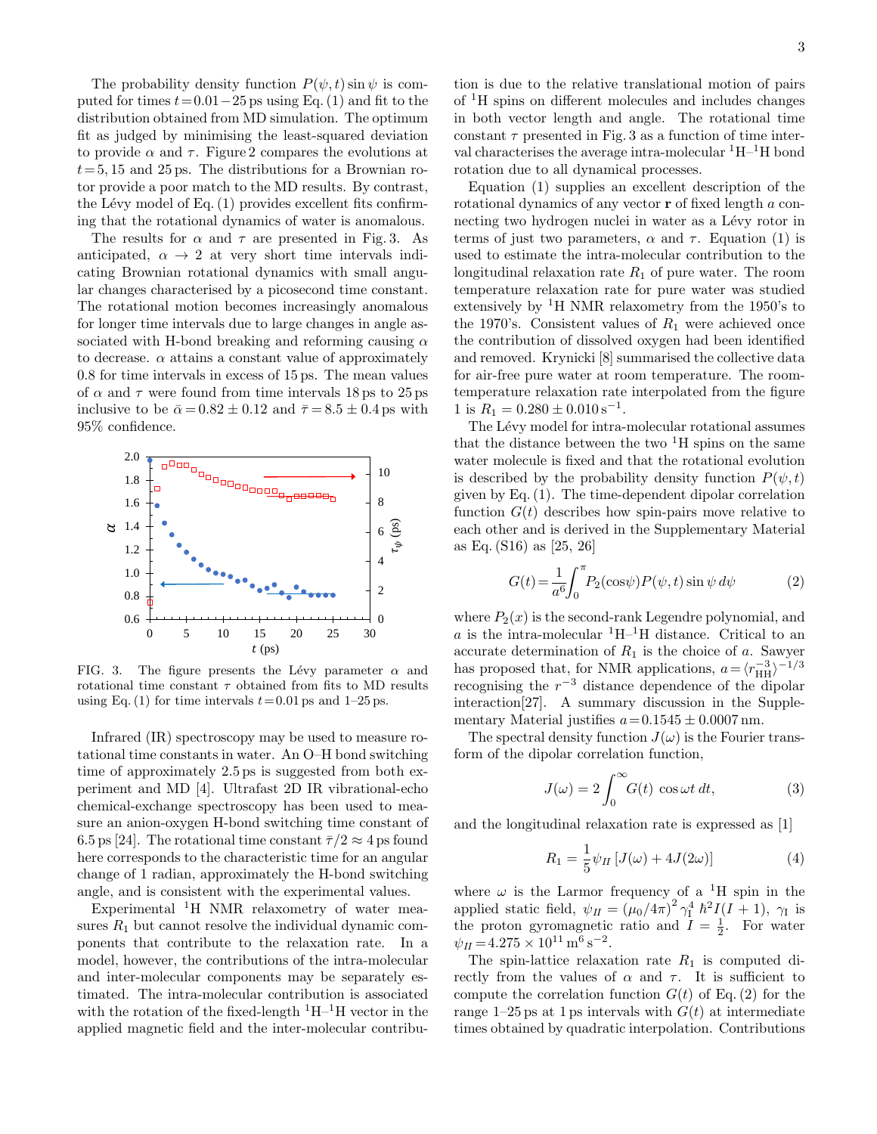The probability density function  $P(\psi, t) \sin \psi$  is computed for times  $t = 0.01-25$  ps using Eq. (1) and fit to the distribution obtained from MD simulation. The optimum fit as judged by minimising the least-squared deviation to provide  $\alpha$  and  $\tau$ . Figure 2 compares the evolutions at  $t= 5, 15$  and 25 ps. The distributions for a Brownian rotor provide a poor match to the MD results. By contrast, the Lévy model of Eq.  $(1)$  provides excellent fits confirming that the rotational dynamics of water is anomalous.

The results for  $\alpha$  and  $\tau$  are presented in Fig. 3. As anticipated,  $\alpha \rightarrow 2$  at very short time intervals indicating Brownian rotational dynamics with small angular changes characterised by a picosecond time constant. The rotational motion becomes increasingly anomalous for longer time intervals due to large changes in angle associated with H-bond breaking and reforming causing  $\alpha$ to decrease.  $\alpha$  attains a constant value of approximately 0.8 for time intervals in excess of 15 ps. The mean values of  $\alpha$  and  $\tau$  were found from time intervals 18 ps to 25 ps inclusive to be  $\bar{\alpha} = 0.82 \pm 0.12$  and  $\bar{\tau} = 8.5 \pm 0.4$  ps with 95% confidence.



FIG. 3. The figure presents the Lévy parameter  $\alpha$  and rotational time constant  $\tau$  obtained from fits to MD results using Eq. (1) for time intervals  $t = 0.01$  ps and 1–25 ps.

Infrared (IR) spectroscopy may be used to measure rotational time constants in water. An O–H bond switching time of approximately 2.5 ps is suggested from both experiment and MD [4]. Ultrafast 2D IR vibrational-echo chemical-exchange spectroscopy has been used to measure an anion-oxygen H-bond switching time constant of 6.5 ps [24]. The rotational time constant  $\bar{\tau}/2 \approx 4$  ps found here corresponds to the characteristic time for an angular change of 1 radian, approximately the H-bond switching angle, and is consistent with the experimental values.

Experimental <sup>1</sup>H NMR relaxometry of water measures  $R_1$  but cannot resolve the individual dynamic components that contribute to the relaxation rate. In a model, however, the contributions of the intra-molecular and inter-molecular components may be separately estimated. The intra-molecular contribution is associated with the rotation of the fixed-length  ${}^{1}H-{}^{1}H$  vector in the applied magnetic field and the inter-molecular contribu-

tion is due to the relative translational motion of pairs of <sup>1</sup>H spins on different molecules and includes changes in both vector length and angle. The rotational time constant  $\tau$  presented in Fig. 3 as a function of time interval characterises the average intra-molecular  ${}^{1}H-{}^{1}H$  bond rotation due to all dynamical processes.

Equation (1) supplies an excellent description of the rotational dynamics of any vector r of fixed length a connecting two hydrogen nuclei in water as a Lévy rotor in terms of just two parameters,  $\alpha$  and  $\tau$ . Equation (1) is used to estimate the intra-molecular contribution to the longitudinal relaxation rate  $R_1$  of pure water. The room temperature relaxation rate for pure water was studied extensively by  ${}^{1}$ H NMR relaxometry from the 1950's to the 1970's. Consistent values of  $R_1$  were achieved once the contribution of dissolved oxygen had been identified and removed. Krynicki [8] summarised the collective data for air-free pure water at room temperature. The roomtemperature relaxation rate interpolated from the figure 1 is  $R_1 = 0.280 \pm 0.010 \,\mathrm{s}^{-1}$ .

The Lévy model for intra-molecular rotational assumes that the distance between the two  ${}^{1}H$  spins on the same water molecule is fixed and that the rotational evolution is described by the probability density function  $P(\psi, t)$ given by Eq. (1). The time-dependent dipolar correlation function  $G(t)$  describes how spin-pairs move relative to each other and is derived in the Supplementary Material as Eq. (S16) as [25, 26]

$$
G(t) = \frac{1}{a^6} \int_0^{\pi} P_2(\cos \psi) P(\psi, t) \sin \psi \, d\psi \tag{2}
$$

where  $P_2(x)$  is the second-rank Legendre polynomial, and a is the intra-molecular  ${}^{1}H-{}^{1}H$  distance. Critical to an accurate determination of  $R_1$  is the choice of a. Sawyer has proposed that, for NMR applications,  $a = \langle r_{\text{HH}}^{-3} \rangle^{-1/3}$ recognising the  $r^{-3}$  distance dependence of the dipolar interaction[27]. A summary discussion in the Supplementary Material justifies  $a = 0.1545 \pm 0.0007$  nm.

The spectral density function  $J(\omega)$  is the Fourier transform of the dipolar correlation function,

$$
J(\omega) = 2 \int_0^\infty G(t) \cos \omega t \, dt,\tag{3}
$$

and the longitudinal relaxation rate is expressed as [1]

$$
R_1 = \frac{1}{5}\psi_{II}\left[J(\omega) + 4J(2\omega)\right]
$$
 (4)

where  $\omega$  is the Larmor frequency of a <sup>1</sup>H spin in the applied static field,  $\psi_{II} = (\mu_0/4\pi)^2 \gamma_1^4 \hbar^2 I(I+1)$ ,  $\gamma_1$  is the proton gyromagnetic ratio and  $\overline{I} = \frac{1}{2}$ . For water  $\psi_{II} = 4.275 \times 10^{11} \,\mathrm{m}^6 \,\mathrm{s}^{-2}.$ 

The spin-lattice relaxation rate  $R_1$  is computed directly from the values of  $\alpha$  and  $\tau$ . It is sufficient to compute the correlation function  $G(t)$  of Eq. (2) for the range 1–25 ps at 1 ps intervals with  $G(t)$  at intermediate times obtained by quadratic interpolation. Contributions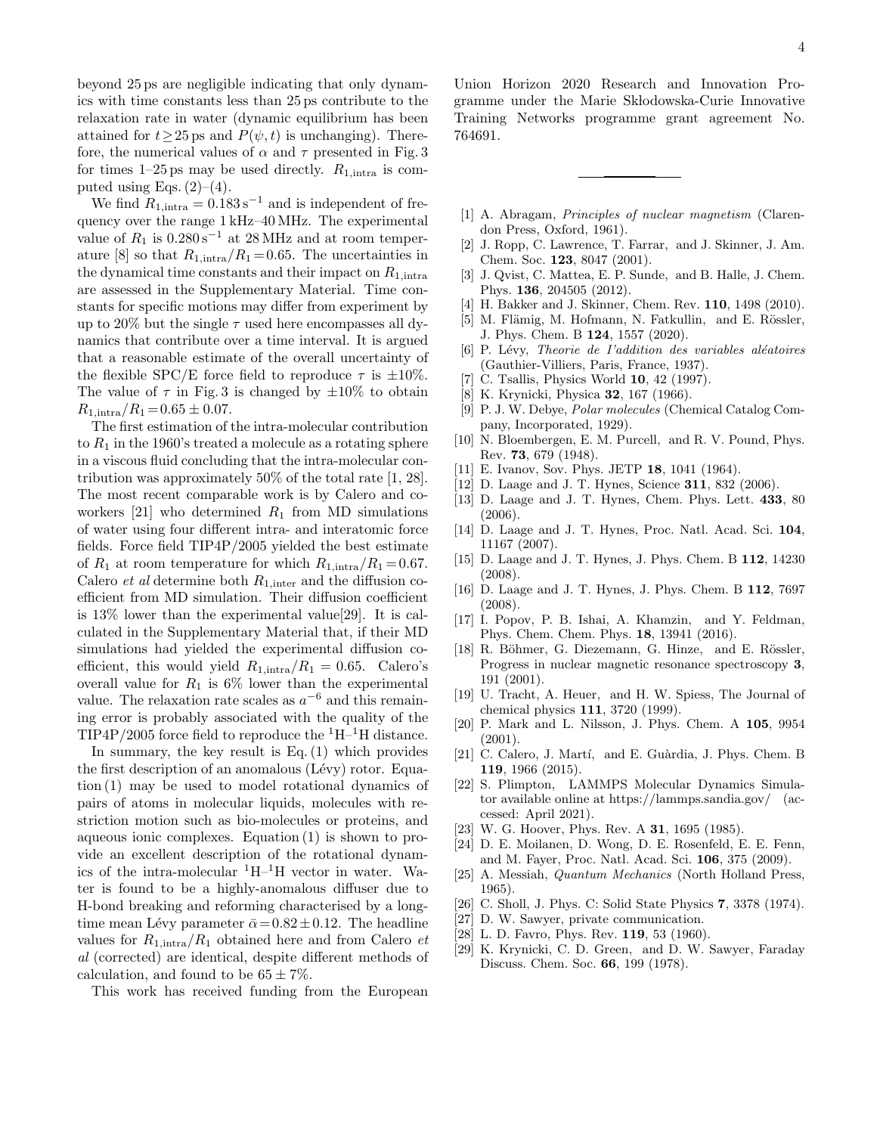beyond 25 ps are negligible indicating that only dynamics with time constants less than 25 ps contribute to the relaxation rate in water (dynamic equilibrium has been attained for  $t \ge 25$  ps and  $P(\psi, t)$  is unchanging). Therefore, the numerical values of  $\alpha$  and  $\tau$  presented in Fig. 3 for times 1–25 ps may be used directly.  $R_{1,\text{intra}}$  is computed using Eqs.  $(2)-(4)$ .

We find  $R_{1,\text{intra}} = 0.183 \,\mathrm{s}^{-1}$  and is independent of frequency over the range 1 kHz–40 MHz. The experimental value of  $R_1$  is  $0.280 \text{ s}^{-1}$  at 28 MHz and at room temperature [8] so that  $R_{1,\text{intra}}/R_1 = 0.65$ . The uncertainties in the dynamical time constants and their impact on  $R_{1,\text{intra}}$ are assessed in the Supplementary Material. Time constants for specific motions may differ from experiment by up to 20% but the single  $\tau$  used here encompasses all dynamics that contribute over a time interval. It is argued that a reasonable estimate of the overall uncertainty of the flexible SPC/E force field to reproduce  $\tau$  is  $\pm 10\%$ . The value of  $\tau$  in Fig. 3 is changed by  $\pm 10\%$  to obtain  $R_{1,\text{intra}}/R_1 = 0.65 \pm 0.07.$ 

The first estimation of the intra-molecular contribution to  $R_1$  in the 1960's treated a molecule as a rotating sphere in a viscous fluid concluding that the intra-molecular contribution was approximately 50% of the total rate [1, 28]. The most recent comparable work is by Calero and coworkers [21] who determined  $R_1$  from MD simulations of water using four different intra- and interatomic force fields. Force field TIP4P/2005 yielded the best estimate of  $R_1$  at room temperature for which  $R_{1,\text{intra}}/R_1 = 0.67$ . Calero *et al* determine both  $R_{1,\text{inter}}$  and the diffusion coefficient from MD simulation. Their diffusion coefficient is 13% lower than the experimental value[29]. It is calculated in the Supplementary Material that, if their MD simulations had yielded the experimental diffusion coefficient, this would yield  $R_{1,\text{intra}}/R_1 = 0.65$ . Calero's overall value for  $R_1$  is 6% lower than the experimental value. The relaxation rate scales as  $a^{-6}$  and this remaining error is probably associated with the quality of the TIP4P/2005 force field to reproduce the  ${}^{1}H-{}^{1}H$  distance.

In summary, the key result is Eq.  $(1)$  which provides the first description of an anomalous  $(Lévy)$  rotor. Equation (1) may be used to model rotational dynamics of pairs of atoms in molecular liquids, molecules with restriction motion such as bio-molecules or proteins, and aqueous ionic complexes. Equation (1) is shown to provide an excellent description of the rotational dynamics of the intra-molecular  ${}^{1}H-{}^{1}H$  vector in water. Water is found to be a highly-anomalous diffuser due to H-bond breaking and reforming characterised by a longtime mean Lévy parameter  $\bar{\alpha} = 0.82 \pm 0.12$ . The headline values for  $R_{1,\text{intra}}/R_1$  obtained here and from Calero *et* al (corrected) are identical, despite different methods of calculation, and found to be  $65 \pm 7\%$ .

This work has received funding from the European

Union Horizon 2020 Research and Innovation Programme under the Marie Skłodowska-Curie Innovative Training Networks programme grant agreement No. 764691.

- [1] A. Abragam, Principles of nuclear magnetism (Clarendon Press, Oxford, 1961).
- [2] J. Ropp, C. Lawrence, T. Farrar, and J. Skinner, J. Am. Chem. Soc. 123, 8047 (2001).
- [3] J. Qvist, C. Mattea, E. P. Sunde, and B. Halle, J. Chem. Phys. 136, 204505 (2012).
- [4] H. Bakker and J. Skinner, Chem. Rev. 110, 1498 (2010).
- [5] M. Flämig, M. Hofmann, N. Fatkullin, and E. Rössler, J. Phys. Chem. B 124, 1557 (2020).
- $[6]$  P. Lévy, *Theorie de l'addition des variables aléatoires* (Gauthier-Villiers, Paris, France, 1937).
- [7] C. Tsallis, Physics World **10**, 42 (1997).
- [8] K. Krynicki, Physica 32, 167 (1966).
- [9] P. J. W. Debye, Polar molecules (Chemical Catalog Company, Incorporated, 1929).
- [10] N. Bloembergen, E. M. Purcell, and R. V. Pound, Phys. Rev. 73, 679 (1948).
- [11] E. Ivanov, Sov. Phys. JETP **18**, 1041 (1964).
- [12] D. Laage and J. T. Hynes, Science **311**, 832 (2006).
- [13] D. Laage and J. T. Hynes, Chem. Phys. Lett. 433, 80 (2006).
- [14] D. Laage and J. T. Hynes, Proc. Natl. Acad. Sci. 104, 11167 (2007).
- [15] D. Laage and J. T. Hynes, J. Phys. Chem. B 112, 14230 (2008).
- [16] D. Laage and J. T. Hynes, J. Phys. Chem. B 112, 7697 (2008).
- [17] I. Popov, P. B. Ishai, A. Khamzin, and Y. Feldman, Phys. Chem. Chem. Phys. 18, 13941 (2016).
- [18] R. Böhmer, G. Diezemann, G. Hinze, and E. Rössler, Progress in nuclear magnetic resonance spectroscopy 3, 191 (2001).
- [19] U. Tracht, A. Heuer, and H. W. Spiess, The Journal of chemical physics 111, 3720 (1999).
- [20] P. Mark and L. Nilsson, J. Phys. Chem. A 105, 9954 (2001).
- [21] C. Calero, J. Martí, and E. Guàrdia, J. Phys. Chem. B 119, 1966 (2015).
- [22] S. Plimpton, LAMMPS Molecular Dynamics Simulator available online at https://lammps.sandia.gov/ (accessed: April 2021).
- [23] W. G. Hoover, Phys. Rev. A **31**, 1695 (1985).
- [24] D. E. Moilanen, D. Wong, D. E. Rosenfeld, E. E. Fenn, and M. Fayer, Proc. Natl. Acad. Sci. 106, 375 (2009).
- [25] A. Messiah, Quantum Mechanics (North Holland Press, 1965).
- [26] C. Sholl, J. Phys. C: Solid State Physics 7, 3378 (1974).
- [27] D. W. Sawyer, private communication.
- [28] L. D. Favro, Phys. Rev. **119**, 53 (1960).
- [29] K. Krynicki, C. D. Green, and D. W. Sawyer, Faraday Discuss. Chem. Soc. 66, 199 (1978).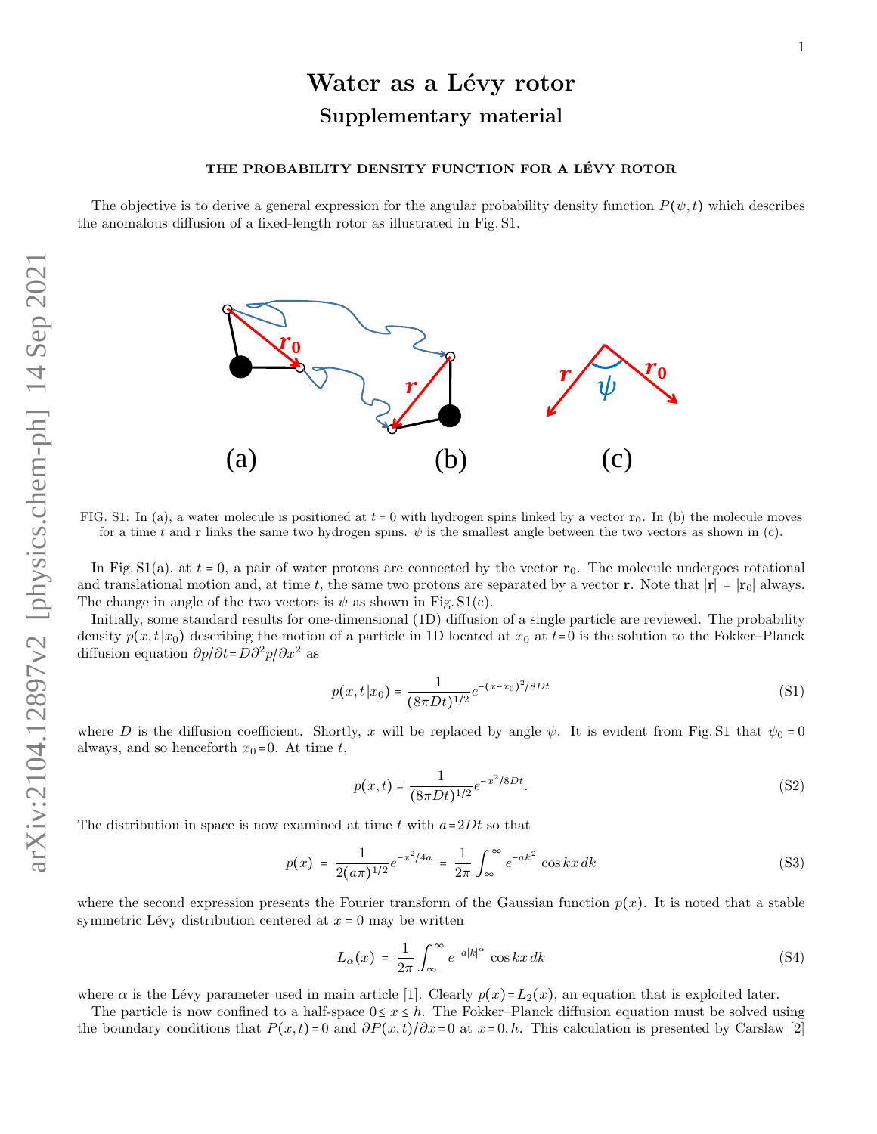### THE PROBABILITY DENSITY FUNCTION FOR A LÉVY ROTOR

The objective is to derive a general expression for the angular probability density function  $P(\psi, t)$  which describes the anomalous diffusion of a fixed-length rotor as illustrated in Fig. S1.



FIG. S1: In (a), a water molecule is positioned at  $t = 0$  with hydrogen spins linked by a vector  $r_0$ . In (b) the molecule moves for a time t and r links the same two hydrogen spins.  $\psi$  is the smallest angle between the two vectors as shown in (c).

In Fig.  $S1(a)$ , at  $t = 0$ , a pair of water protons are connected by the vector  $r_0$ . The molecule undergoes rotational and translational motion and, at time t, the same two protons are separated by a vector r. Note that  $|\mathbf{r}| = |\mathbf{r}_0|$  always. The change in angle of the two vectors is  $\psi$  as shown in Fig. S1(c).

Initially, some standard results for one-dimensional (1D) diffusion of a single particle are reviewed. The probability density  $p(x, t|x_0)$  describing the motion of a particle in 1D located at  $x_0$  at  $t=0$  is the solution to the Fokker–Planck diffusion equation  $\partial p/\partial t = D\partial^2 p/\partial x^2$  as

$$
p(x,t|x_0) = \frac{1}{(8\pi Dt)^{1/2}}e^{-(x-x_0)^2/8Dt}
$$
\n(S1)

where D is the diffusion coefficient. Shortly, x will be replaced by angle  $\psi$ . It is evident from Fig. S1 that  $\psi_0 = 0$ always, and so henceforth  $x_0 = 0$ . At time t,

$$
p(x,t) = \frac{1}{(8\pi Dt)^{1/2}} e^{-x^2/8Dt}.
$$
 (S2)

The distribution in space is now examined at time  $t$  with  $a=2Dt$  so that

$$
p(x) = \frac{1}{2(a\pi)^{1/2}}e^{-x^2/4a} = \frac{1}{2\pi}\int_{\infty}^{\infty}e^{-ak^2}\cos kx \, dk
$$
 (S3)

where the second expression presents the Fourier transform of the Gaussian function  $p(x)$ . It is noted that a stable symmetric Lévy distribution centered at  $x = 0$  may be written

$$
L_{\alpha}(x) = \frac{1}{2\pi} \int_{\infty}^{\infty} e^{-a|k|^{\alpha}} \cos kx \, dk \tag{S4}
$$

where  $\alpha$  is the Lévy parameter used in main article [1]. Clearly  $p(x)=L_2(x)$ , an equation that is exploited later.

The particle is now confined to a half-space  $0 \le x \le h$ . The Fokker–Planck diffusion equation must be solved using the boundary conditions that  $P(x,t) = 0$  and  $\partial P(x,t)/\partial x = 0$  at  $x=0,h$ . This calculation is presented by Carslaw [2]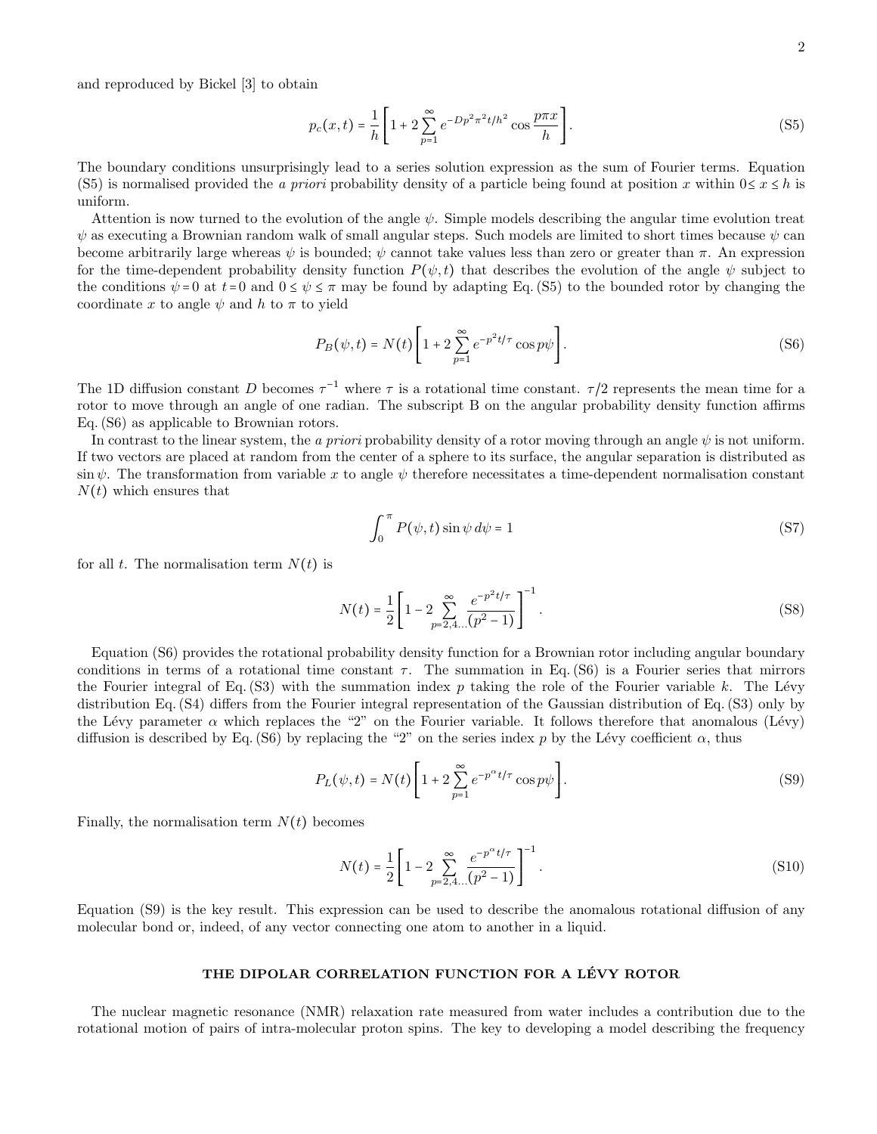and reproduced by Bickel [3] to obtain

$$
p_c(x,t) = \frac{1}{h} \left[ 1 + 2 \sum_{p=1}^{\infty} e^{-Dp^2 \pi^2 t / h^2} \cos \frac{p \pi x}{h} \right].
$$
 (S5)

The boundary conditions unsurprisingly lead to a series solution expression as the sum of Fourier terms. Equation (S5) is normalised provided the a priori probability density of a particle being found at position x within  $0 \le x \le h$  is uniform.

Attention is now turned to the evolution of the angle  $\psi$ . Simple models describing the angular time evolution treat  $\psi$  as executing a Brownian random walk of small angular steps. Such models are limited to short times because  $\psi$  can become arbitrarily large whereas  $\psi$  is bounded;  $\psi$  cannot take values less than zero or greater than  $\pi$ . An expression for the time-dependent probability density function  $P(\psi, t)$  that describes the evolution of the angle  $\psi$  subject to the conditions  $\psi = 0$  at  $t=0$  and  $0 \le \psi \le \pi$  may be found by adapting Eq. (S5) to the bounded rotor by changing the coordinate x to angle  $\psi$  and h to  $\pi$  to yield

$$
P_B(\psi, t) = N(t) \left[ 1 + 2 \sum_{p=1}^{\infty} e^{-p^2 t/\tau} \cos p\psi \right].
$$
 (S6)

The 1D diffusion constant D becomes  $\tau^{-1}$  where  $\tau$  is a rotational time constant.  $\tau/2$  represents the mean time for a rotor to move through an angle of one radian. The subscript B on the angular probability density function affirms Eq. (S6) as applicable to Brownian rotors.

In contrast to the linear system, the a priori probability density of a rotor moving through an angle  $\psi$  is not uniform. If two vectors are placed at random from the center of a sphere to its surface, the angular separation is distributed as sin  $\psi$ . The transformation from variable x to angle  $\psi$  therefore necessitates a time-dependent normalisation constant  $N(t)$  which ensures that

$$
\int_0^{\pi} P(\psi, t) \sin \psi \, d\psi = 1 \tag{S7}
$$

for all t. The normalisation term  $N(t)$  is

$$
N(t) = \frac{1}{2} \left[ 1 - 2 \sum_{p=2,4...}^{\infty} \frac{e^{-p^2 t/\tau}}{(p^2 - 1)} \right]^{-1}.
$$
 (S8)

Equation (S6) provides the rotational probability density function for a Brownian rotor including angular boundary conditions in terms of a rotational time constant  $\tau$ . The summation in Eq. (S6) is a Fourier series that mirrors the Fourier integral of Eq.  $(S3)$  with the summation index p taking the role of the Fourier variable k. The Lévy distribution Eq. (S4) differs from the Fourier integral representation of the Gaussian distribution of Eq. (S3) only by the Lévy parameter  $\alpha$  which replaces the "2" on the Fourier variable. It follows therefore that anomalous (Lévy) diffusion is described by Eq. (S6) by replacing the "2" on the series index p by the Lévy coefficient  $\alpha$ , thus

$$
P_L(\psi, t) = N(t) \left[ 1 + 2 \sum_{p=1}^{\infty} e^{-p^{\alpha} t/\tau} \cos p\psi \right].
$$
 (S9)

Finally, the normalisation term  $N(t)$  becomes

$$
N(t) = \frac{1}{2} \left[ 1 - 2 \sum_{p=2,4...}^{\infty} \frac{e^{-p^{\alpha}t/\tau}}{(p^2 - 1)} \right]^{-1}.
$$
 (S10)

Equation (S9) is the key result. This expression can be used to describe the anomalous rotational diffusion of any molecular bond or, indeed, of any vector connecting one atom to another in a liquid.

### THE DIPOLAR CORRELATION FUNCTION FOR A LÉVY ROTOR

The nuclear magnetic resonance (NMR) relaxation rate measured from water includes a contribution due to the rotational motion of pairs of intra-molecular proton spins. The key to developing a model describing the frequency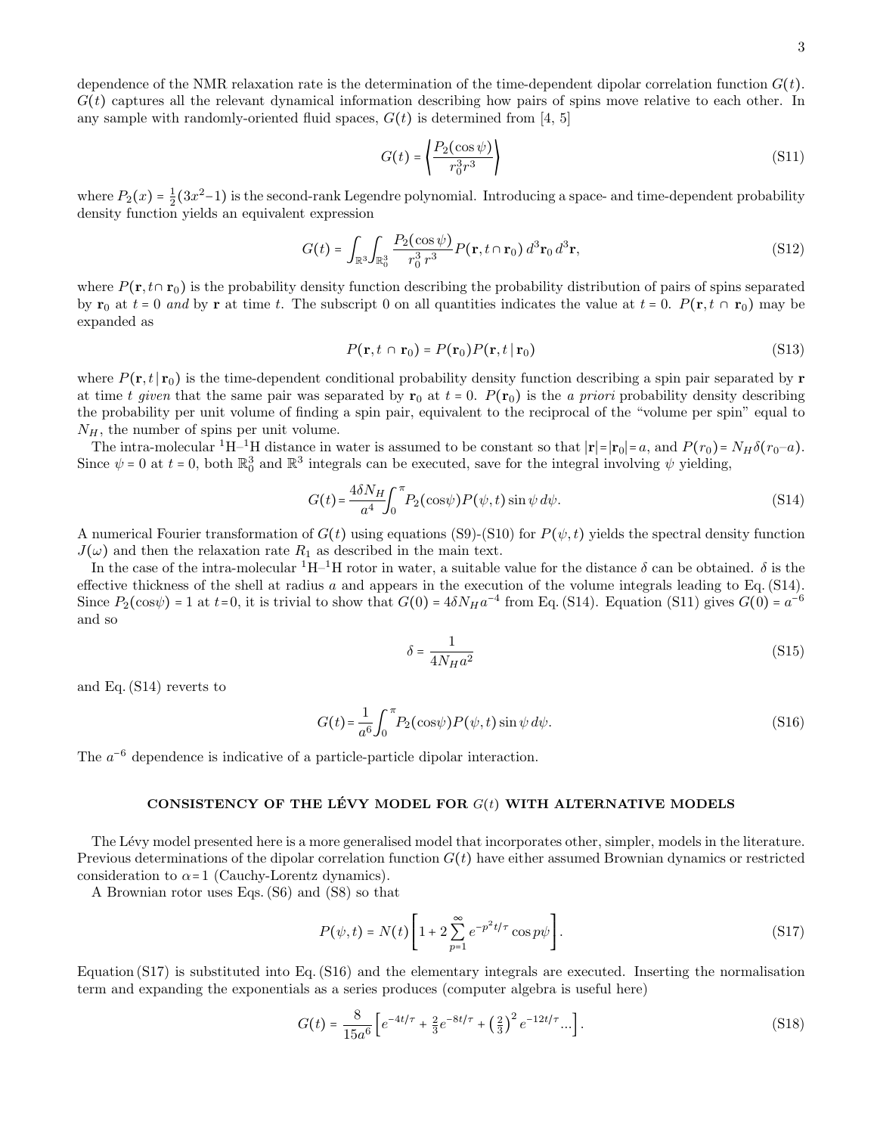$$
G(t) = \left\langle \frac{P_2(\cos\psi)}{r_0^3 r^3} \right\rangle \tag{S11}
$$

where  $P_2(x) = \frac{1}{2}(3x^2-1)$  is the second-rank Legendre polynomial. Introducing a space- and time-dependent probability density function yields an equivalent expression

any sample with randomly-oriented fluid spaces,  $G(t)$  is determined from [4, 5]

$$
G(t) = \int_{\mathbb{R}^3} \int_{\mathbb{R}_0^3} \frac{P_2(\cos \psi)}{r_0^3 r^3} P(\mathbf{r}, t \cap \mathbf{r}_0) d^3 \mathbf{r}_0 d^3 \mathbf{r},
$$
\n(S12)

where  $P(\mathbf{r}, t \cap \mathbf{r}_0)$  is the probability density function describing the probability distribution of pairs of spins separated by  $\mathbf{r}_0$  at  $t = 0$  and by  $\mathbf{r}$  at time t. The subscript 0 on all quantities indicates the value at  $t = 0$ .  $P(\mathbf{r}, t \cap \mathbf{r}_0)$  may be expanded as

$$
P(\mathbf{r}, t \cap \mathbf{r}_0) = P(\mathbf{r}_0) P(\mathbf{r}, t \mid \mathbf{r}_0)
$$
\n(S13)

where  $P(\mathbf{r}, t \mid \mathbf{r}_0)$  is the time-dependent conditional probability density function describing a spin pair separated by **r** at time t given that the same pair was separated by  $\mathbf{r}_0$  at  $t = 0$ .  $P(\mathbf{r}_0)$  is the a priori probability density describing the probability per unit volume of finding a spin pair, equivalent to the reciprocal of the "volume per spin" equal to  $N_H$ , the number of spins per unit volume.

The intra-molecular <sup>1</sup>H–<sup>1</sup>H distance in water is assumed to be constant so that  $|\mathbf{r}| = |\mathbf{r}_0| = a$ , and  $P(r_0) = N_H \delta(r_0-a)$ . Since  $\psi = 0$  at  $t = 0$ , both  $\mathbb{R}_0^3$  and  $\mathbb{R}^3$  integrals can be executed, save for the integral involving  $\psi$  yielding,

$$
G(t) = \frac{4\delta N_H}{a^4} \int_0^{\pi} P_2(\cos\psi) P(\psi, t) \sin\psi \, d\psi.
$$
 (S14)

A numerical Fourier transformation of  $G(t)$  using equations (S9)-(S10) for  $P(\psi, t)$  yields the spectral density function  $J(\omega)$  and then the relaxation rate  $R_1$  as described in the main text.

In the case of the intra-molecular  ${}^{1}H-{}^{1}H$  rotor in water, a suitable value for the distance  $\delta$  can be obtained.  $\delta$  is the effective thickness of the shell at radius a and appears in the execution of the volume integrals leading to Eq.  $(S14)$ . Since  $P_2(\cos\psi) = 1$  at  $t=0$ , it is trivial to show that  $G(0) = 4\delta N_H a^{-4}$  from Eq. (S14). Equation (S11) gives  $G(0) = a^{-6}$ and so

$$
\delta = \frac{1}{4N_H a^2} \tag{S15}
$$

and Eq. (S14) reverts to

$$
G(t) = \frac{1}{a^6} \int_0^{\pi} P_2(\cos\psi) P(\psi, t) \sin\psi \, d\psi.
$$
 (S16)

The  $a^{-6}$  dependence is indicative of a particle-particle dipolar interaction.

# CONSISTENCY OF THE LÉVY MODEL FOR  $G(t)$  WITH ALTERNATIVE MODELS

The Lévy model presented here is a more generalised model that incorporates other, simpler, models in the literature. Previous determinations of the dipolar correlation function  $G(t)$  have either assumed Brownian dynamics or restricted consideration to  $\alpha$ =1 (Cauchy-Lorentz dynamics).

A Brownian rotor uses Eqs. (S6) and (S8) so that

$$
P(\psi, t) = N(t) \left[ 1 + 2 \sum_{p=1}^{\infty} e^{-p^2 t/\tau} \cos p\psi \right].
$$
 (S17)

Equation (S17) is substituted into Eq. (S16) and the elementary integrals are executed. Inserting the normalisation term and expanding the exponentials as a series produces (computer algebra is useful here)

$$
G(t) = \frac{8}{15a^6} \left[ e^{-4t/\tau} + \frac{2}{3} e^{-8t/\tau} + \left(\frac{2}{3}\right)^2 e^{-12t/\tau} \dots \right].
$$
 (S18)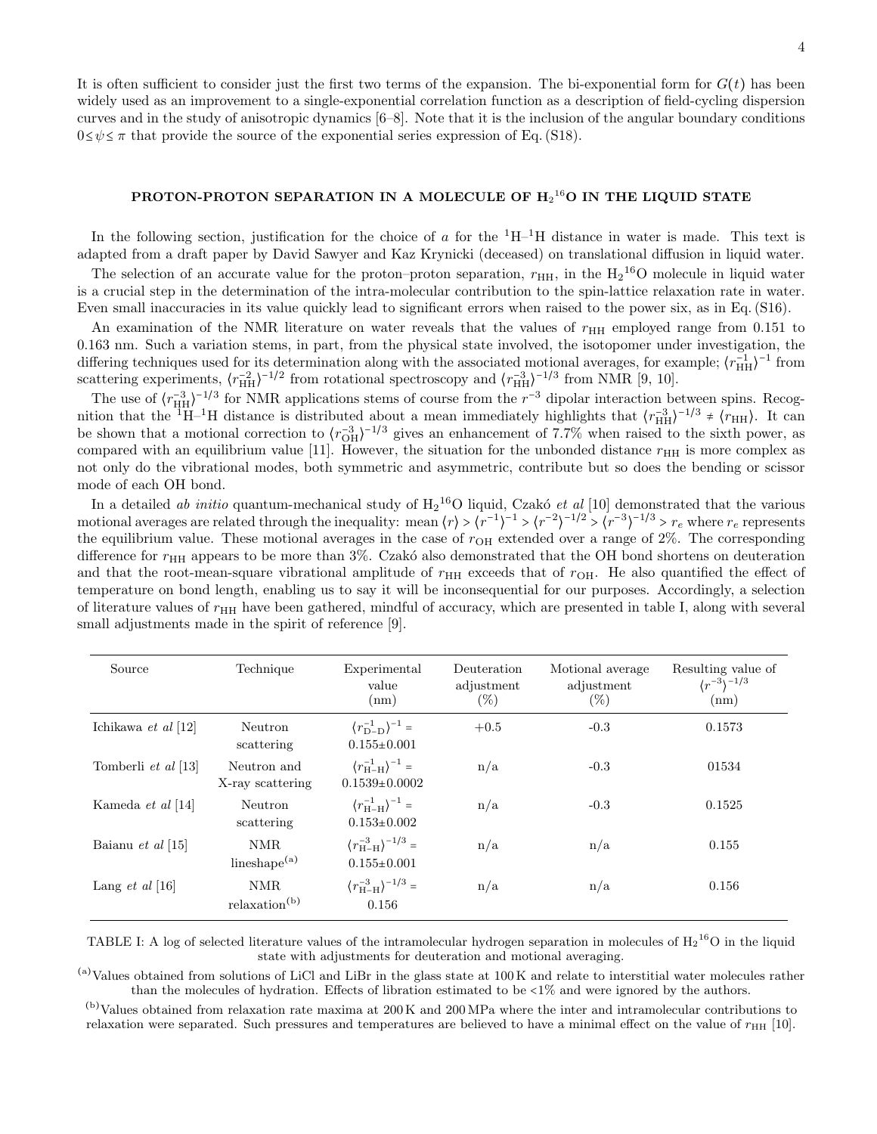It is often sufficient to consider just the first two terms of the expansion. The bi-exponential form for  $G(t)$  has been widely used as an improvement to a single-exponential correlation function as a description of field-cycling dispersion curves and in the study of anisotropic dynamics [6–8]. Note that it is the inclusion of the angular boundary conditions  $0 \le \psi \le \pi$  that provide the source of the exponential series expression of Eq. (S18).

# PROTON-PROTON SEPARATION IN A MOLECULE OF  $\rm{H_2^{16}O}$  IN THE LIQUID STATE

In the following section, justification for the choice of a for the  $^1H^{-1}H$  distance in water is made. This text is adapted from a draft paper by David Sawyer and Kaz Krynicki (deceased) on translational diffusion in liquid water.

The selection of an accurate value for the proton–proton separation,  $r_{HH}$ , in the  $H_2^{16}O$  molecule in liquid water is a crucial step in the determination of the intra-molecular contribution to the spin-lattice relaxation rate in water. Even small inaccuracies in its value quickly lead to significant errors when raised to the power six, as in Eq. (S16).

An examination of the NMR literature on water reveals that the values of  $r_{HH}$  employed range from 0.151 to 0.163 nm. Such a variation stems, in part, from the physical state involved, the isotopomer under investigation, the differing techniques used for its determination along with the associated motional averages, for example;  $(r_{\text{HH}}^{-1})^{-1}$  from scattering experiments,  $\langle r_{\text{HH}}^{-2} \rangle^{-1/2}$  from rotational spectroscopy and  $\langle r_{\text{HH}}^{-3} \rangle^{-1/3}$  from NMR [9, 10].

The use of  $\langle r_{\text{HH}}^{-3} \rangle^{-1/3}$  for NMR applications stems of course from the  $r^{-3}$  dipolar interaction between spins. Recognition that the <sup>1</sup>H–<sup>1</sup>H distance is distributed about a mean immediately highlights that  $\langle r_{\text{HH}}^{-3} \rangle^{-1/3} \neq \langle r_{\text{HH}} \rangle$ . It can be shown that a motional correction to  $\langle r_{\text{OH}}^{-3} \rangle^{-1/3}$  gives an enhancement of 7.7% when raised to the sixth power, as compared with an equilibrium value [11]. However, the situation for the unbonded distance  $r_{\text{HH}}$  is more complex as not only do the vibrational modes, both symmetric and asymmetric, contribute but so does the bending or scissor mode of each OH bond.

In a detailed *ab initio* quantum-mechanical study of  $H_2$ <sup>16</sup>O liquid, Czakó *et al* [10] demonstrated that the various motional averages are related through the inequality: mean  $\langle r \rangle > \langle r^{-1} \rangle^{-1} > \langle r^{-2} \rangle^{-1/2} > \langle r^{-3} \rangle^{-1/3} > r_e$  where  $r_e$  represents the equilibrium value. These motional averages in the case of  $r_{OH}$  extended over a range of  $2\%$ . The corresponding difference for  $r<sub>HH</sub>$  appears to be more than 3%. Czakó also demonstrated that the OH bond shortens on deuteration and that the root-mean-square vibrational amplitude of  $r_{HH}$  exceeds that of  $r_{OH}$ . He also quantified the effect of temperature on bond length, enabling us to say it will be inconsequential for our purposes. Accordingly, a selection of literature values of  $r<sub>HH</sub>$  have been gathered, mindful of accuracy, which are presented in table I, along with several small adjustments made in the spirit of reference [9].

| Source                 | Technique                         | Experimental<br>value<br>(nm)                                    | Deuteration<br>adjustment<br>$(\%)$ | Motional average<br>adjustment<br>$(\%)$ | Resulting value of<br>$(r^{-3})^{-1/3}$<br>(nm) |
|------------------------|-----------------------------------|------------------------------------------------------------------|-------------------------------------|------------------------------------------|-------------------------------------------------|
| Ichikawa et al [12]    | Neutron<br>scattering             | $\langle r_{\rm D-D}^{-1} \rangle^{-1} =$<br>$0.155 \pm 0.001$   | $+0.5$                              | $-0.3$                                   | 0.1573                                          |
| Tomberli et al [13]    | Neutron and<br>X-ray scattering   | $\langle r_{\rm H-H}^{-1} \rangle^{-1} =$<br>$0.1539+0.0002$     | n/a                                 | $-0.3$                                   | 01534                                           |
| Kameda et al [14]      | Neutron<br>scattering             | $\langle r_{\rm H-H}^{-1} \rangle^{-1} =$<br>$0.153 \pm 0.002$   | n/a                                 | $-0.3$                                   | 0.1525                                          |
| Baianu et al [15]      | NMR.<br>lineshape $(a)$           | $\langle r_{\rm H-H}^{-3} \rangle^{-1/3}$ =<br>$0.155 \pm 0.001$ | n/a                                 | n/a                                      | 0.155                                           |
| Lang <i>et al</i> [16] | NMR.<br>relaxation <sup>(b)</sup> | $\langle r_{\rm H-H}^{-3} \rangle^{-1/3} =$<br>0.156             | n/a                                 | n/a                                      | 0.156                                           |

TABLE I: A log of selected literature values of the intramolecular hydrogen separation in molecules of  $H_2^{16}O$  in the liquid state with adjustments for deuteration and motional averaging.

 $(a)$ Values obtained from solutions of LiCl and LiBr in the glass state at 100 K and relate to interstitial water molecules rather than the molecules of hydration. Effects of libration estimated to be <1% and were ignored by the authors.

(b)Values obtained from relaxation rate maxima at 200 K and 200 MPa where the inter and intramolecular contributions to relaxation were separated. Such pressures and temperatures are believed to have a minimal effect on the value of  $r_{\rm HH}$  [10].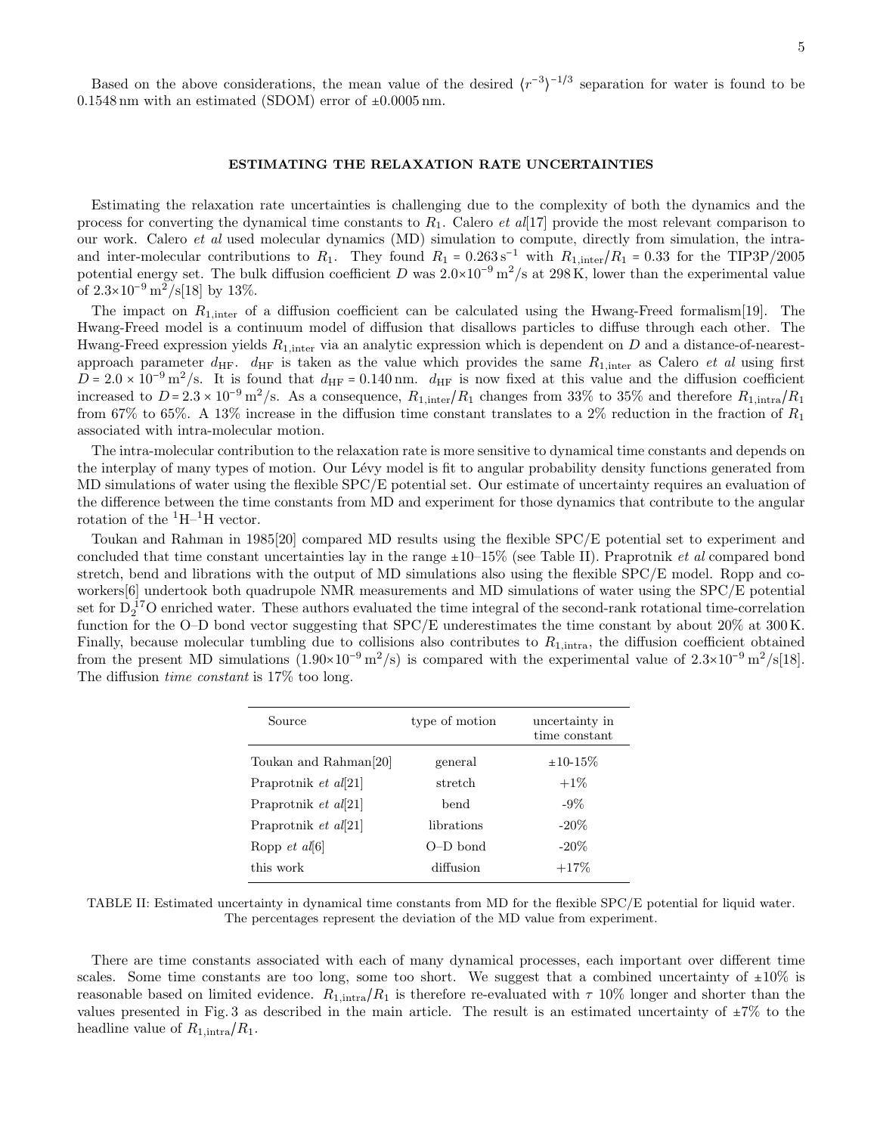Based on the above considerations, the mean value of the desired  $\langle r^{-3} \rangle^{-1/3}$  separation for water is found to be  $0.1548 \text{ nm}$  with an estimated (SDOM) error of  $\pm 0.0005 \text{ nm}$ .

### ESTIMATING THE RELAXATION RATE UNCERTAINTIES

Estimating the relaxation rate uncertainties is challenging due to the complexity of both the dynamics and the process for converting the dynamical time constants to  $R_1$ . Calero *et al*[17] provide the most relevant comparison to our work. Calero et al used molecular dynamics (MD) simulation to compute, directly from simulation, the intraand inter-molecular contributions to  $R_1$ . They found  $R_1 = 0.263 s^{-1}$  with  $R_{1,\text{inter}}/R_1 = 0.33$  for the TIP3P/2005 potential energy set. The bulk diffusion coefficient D was  $2.0\times10^{-9}$  m<sup>2</sup>/s at 298 K, lower than the experimental value of  $2.3 \times 10^{-9} \text{ m}^2/\text{s} [18]$  by 13%.

The impact on  $R_{1,\text{inter}}$  of a diffusion coefficient can be calculated using the Hwang-Freed formalism[19]. The Hwang-Freed model is a continuum model of diffusion that disallows particles to diffuse through each other. The Hwang-Freed expression yields  $R_{1,\text{inter}}$  via an analytic expression which is dependent on D and a distance-of-nearestapproach parameter  $d_{\text{HF}}$ .  $d_{\text{HF}}$  is taken as the value which provides the same  $R_{1,\text{inter}}$  as Calero *et al* using first  $D = 2.0 \times 10^{-9} \text{ m}^2/\text{s}$ . It is found that  $d_{\text{HF}} = 0.140 \text{ nm}$ .  $d_{\text{HF}}$  is now fixed at this value and the diffusion coefficient increased to  $D = 2.3 \times 10^{-9} \text{ m}^2/\text{s}$ . As a consequence,  $R_{1,\text{inter}}/R_1$  changes from 33% to 35% and therefore  $R_{1,\text{intra}}/R_1$ from 67% to 65%. A 13% increase in the diffusion time constant translates to a 2% reduction in the fraction of  $R_1$ associated with intra-molecular motion.

The intra-molecular contribution to the relaxation rate is more sensitive to dynamical time constants and depends on the interplay of many types of motion. Our Lévy model is fit to angular probability density functions generated from MD simulations of water using the flexible SPC/E potential set. Our estimate of uncertainty requires an evaluation of the difference between the time constants from MD and experiment for those dynamics that contribute to the angular rotation of the  ${}^{1}H-{}^{1}H$  vector.

Toukan and Rahman in 1985[20] compared MD results using the flexible SPC/E potential set to experiment and concluded that time constant uncertainties lay in the range  $\pm 10$ –15% (see Table II). Praprotnik *et al* compared bond stretch, bend and librations with the output of MD simulations also using the flexible SPC/E model. Ropp and coworkers[6] undertook both quadrupole NMR measurements and MD simulations of water using the SPC/E potential set for  $D_2$ <sup>17</sup>O enriched water. These authors evaluated the time integral of the second-rank rotational time-correlation function for the O–D bond vector suggesting that SPC/E underestimates the time constant by about 20% at 300 K. Finally, because molecular tumbling due to collisions also contributes to  $R_{1,\text{intra}}$ , the diffusion coefficient obtained from the present MD simulations  $(1.90 \times 10^{-9} \text{ m}^2/\text{s})$  is compared with the experimental value of  $2.3 \times 10^{-9} \text{ m}^2/\text{s}$ [18]. The diffusion *time constant* is  $17\%$  too long.

| Source                       | type of motion | uncertainty in<br>time constant |
|------------------------------|----------------|---------------------------------|
| Toukan and Rahman [20]       | general        | $\pm 10 - 15\%$                 |
| Praprotnik <i>et al</i> [21] | stretch        | $+1\%$                          |
| Praprotnik <i>et al</i> [21] | bend           | $-9\%$                          |
| Praprotnik <i>et al</i> [21] | librations     | $-20\%$                         |
|                              | $O-D$ bond     | $-20\%$                         |
| this work                    | diffusion      | $+17\%$                         |

TABLE II: Estimated uncertainty in dynamical time constants from MD for the flexible SPC/E potential for liquid water. The percentages represent the deviation of the MD value from experiment.

There are time constants associated with each of many dynamical processes, each important over different time scales. Some time constants are too long, some too short. We suggest that a combined uncertainty of  $\pm 10\%$  is reasonable based on limited evidence.  $R_{1,\text{intra}}/R_1$  is therefore re-evaluated with  $\tau$  10% longer and shorter than the values presented in Fig. 3 as described in the main article. The result is an estimated uncertainty of  $\pm 7\%$  to the headline value of  $R_{1,\text{intra}}/R_1$ .